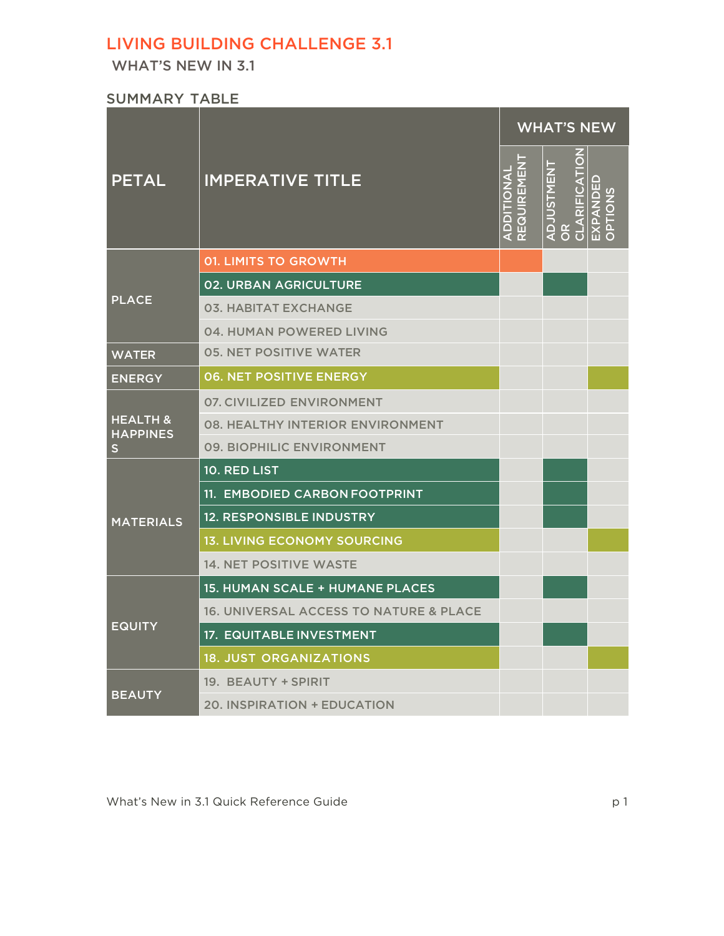# LIVING BUILDING CHALLENGE 3.1

WHAT'S NEW IN 3.1

SUMMARY TABLE

|                                             |                                                   | <b>WHAT'S NEW</b> |             |                                              |                                             |
|---------------------------------------------|---------------------------------------------------|-------------------|-------------|----------------------------------------------|---------------------------------------------|
| <b>PETAL</b>                                | <b>IMPERATIVE TITLE</b>                           | ADDITIONAL        | REQUIREMENT | <b>ADJUSTMENT</b><br>$\frac{\alpha}{\alpha}$ | CLARIFICATION<br>EXPANDED<br><b>CNOILdC</b> |
| <b>PLACE</b>                                | <b>01. LIMITS TO GROWTH</b>                       |                   |             |                                              |                                             |
|                                             | <b>02. URBAN AGRICULTURE</b>                      |                   |             |                                              |                                             |
|                                             | <b>03. HABITAT EXCHANGE</b>                       |                   |             |                                              |                                             |
|                                             | 04. HUMAN POWERED LIVING                          |                   |             |                                              |                                             |
| <b>WATER</b>                                | <b>05. NET POSITIVE WATER</b>                     |                   |             |                                              |                                             |
| <b>ENERGY</b>                               | <b>06. NET POSITIVE ENERGY</b>                    |                   |             |                                              |                                             |
| <b>HEALTH &amp;</b><br><b>HAPPINES</b><br>S | 07. CIVILIZED ENVIRONMENT                         |                   |             |                                              |                                             |
|                                             | <b>08. HEALTHY INTERIOR ENVIRONMENT</b>           |                   |             |                                              |                                             |
|                                             | 09. BIOPHILIC ENVIRONMENT                         |                   |             |                                              |                                             |
| <b>MATERIALS</b>                            | 10. RED LIST                                      |                   |             |                                              |                                             |
|                                             | 11. EMBODIED CARBON FOOTPRINT                     |                   |             |                                              |                                             |
|                                             | <b>12. RESPONSIBLE INDUSTRY</b>                   |                   |             |                                              |                                             |
|                                             | <b>13. LIVING ECONOMY SOURCING</b>                |                   |             |                                              |                                             |
|                                             | <b>14. NET POSITIVE WASTE</b>                     |                   |             |                                              |                                             |
| <b>EQUITY</b>                               | 15. HUMAN SCALE + HUMANE PLACES                   |                   |             |                                              |                                             |
|                                             | <b>16. UNIVERSAL ACCESS TO NATURE &amp; PLACE</b> |                   |             |                                              |                                             |
|                                             | <b>17. EQUITABLE INVESTMENT</b>                   |                   |             |                                              |                                             |
|                                             | <b>18. JUST ORGANIZATIONS</b>                     |                   |             |                                              |                                             |
| <b>BEAUTY</b>                               | 19. BEAUTY + SPIRIT                               |                   |             |                                              |                                             |
|                                             | 20. INSPIRATION + EDUCATION                       |                   |             |                                              |                                             |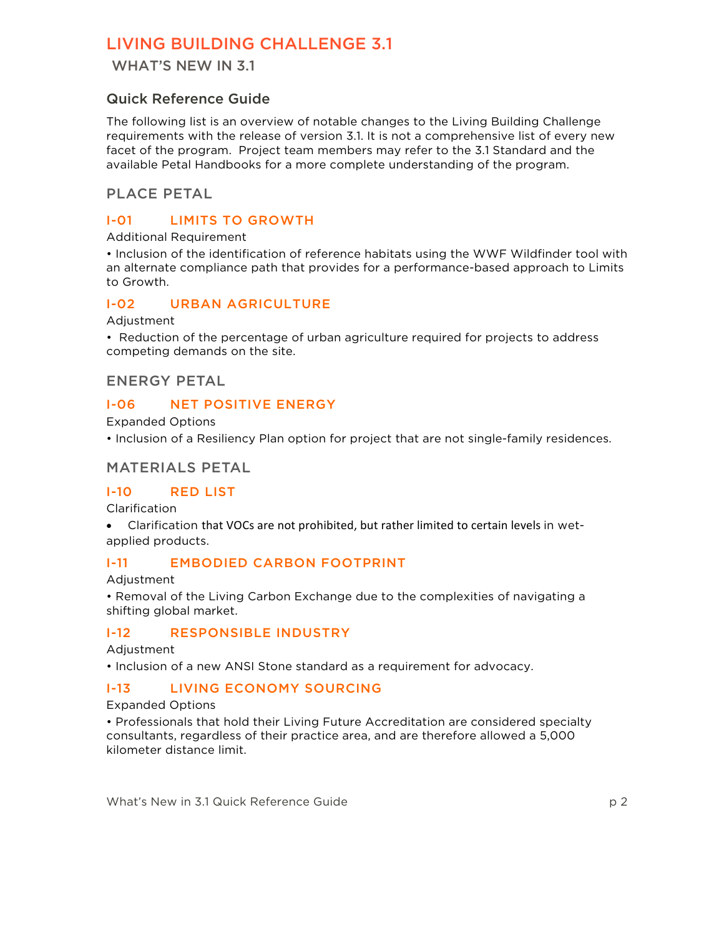# LIVING BUILDING CHALLENGE 3.1

WHAT'S NEW IN 3.1

# Quick Reference Guide

The following list is an overview of notable changes to the Living Building Challenge requirements with the release of version 3.1. It is not a comprehensive list of every new facet of the program. Project team members may refer to the 3.1 Standard and the available Petal Handbooks for a more complete understanding of the program.

## PLACE PETAL

## I-01 LIMITS TO GROWTH

#### Additional Requirement

• Inclusion of the identification of reference habitats using the WWF Wildfinder tool with an alternate compliance path that provides for a performance-based approach to Limits to Growth.

#### I-02 URBAN AGRICULTURE

Adjustment

• Reduction of the percentage of urban agriculture required for projects to address competing demands on the site.

### ENERGY PETAL

#### I-06 NET POSITIVE ENERGY

Expanded Options

• Inclusion of a Resiliency Plan option for project that are not single-family residences.

#### MATERIALS PETAL

#### I-10 RED LIST

Clarification

• Clarification that VOCs are not prohibited, but rather limited to certain levels in wetapplied products.

### I-11 EMBODIED CARBON FOOTPRINT

Adjustment

• Removal of the Living Carbon Exchange due to the complexities of navigating a shifting global market.

### I-12 RESPONSIBLE INDUSTRY

#### Adjustment

• Inclusion of a new ANSI Stone standard as a requirement for advocacy.

### I-13 LIVING ECONOMY SOURCING

#### Expanded Options

• Professionals that hold their Living Future Accreditation are considered specialty consultants, regardless of their practice area, and are therefore allowed a 5,000 kilometer distance limit.